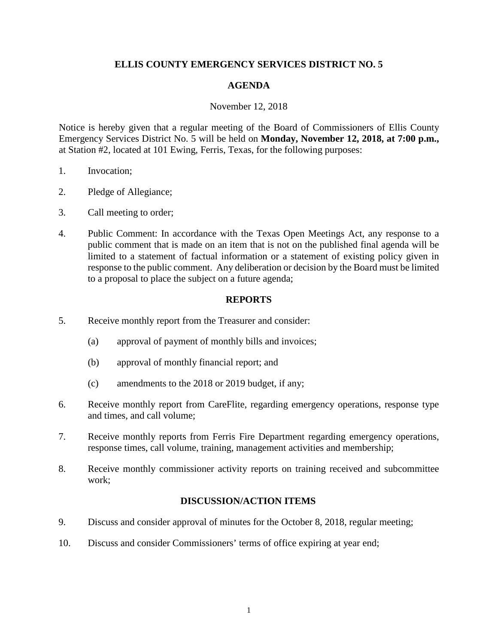# **ELLIS COUNTY EMERGENCY SERVICES DISTRICT NO. 5**

### **AGENDA**

#### November 12, 2018

Notice is hereby given that a regular meeting of the Board of Commissioners of Ellis County Emergency Services District No. 5 will be held on **Monday, November 12, 2018, at 7:00 p.m.,**  at Station #2, located at 101 Ewing, Ferris, Texas, for the following purposes:

- 1. Invocation;
- 2. Pledge of Allegiance;
- 3. Call meeting to order;
- 4. Public Comment: In accordance with the Texas Open Meetings Act, any response to a public comment that is made on an item that is not on the published final agenda will be limited to a statement of factual information or a statement of existing policy given in response to the public comment. Any deliberation or decision by the Board must be limited to a proposal to place the subject on a future agenda;

## **REPORTS**

- 5. Receive monthly report from the Treasurer and consider:
	- (a) approval of payment of monthly bills and invoices;
	- (b) approval of monthly financial report; and
	- (c) amendments to the 2018 or 2019 budget, if any;
- 6. Receive monthly report from CareFlite, regarding emergency operations, response type and times, and call volume;
- 7. Receive monthly reports from Ferris Fire Department regarding emergency operations, response times, call volume, training, management activities and membership;
- 8. Receive monthly commissioner activity reports on training received and subcommittee work;

## **DISCUSSION/ACTION ITEMS**

- 9. Discuss and consider approval of minutes for the October 8, 2018, regular meeting;
- 10. Discuss and consider Commissioners' terms of office expiring at year end;